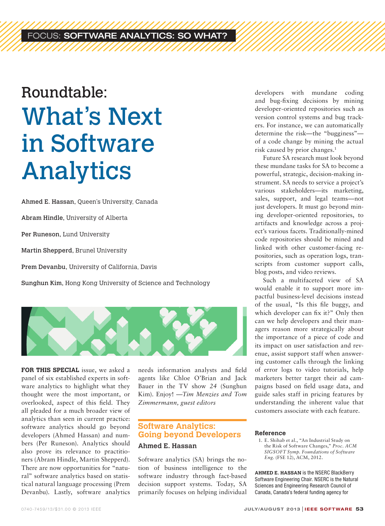# FOCUS: SOFTWARE ANALYTICS: SO WHAT?

# Roundtable: What's Next in Software Analytics

Ahmed E. Hassan, Queen's University, Canada

Abram Hindle, University of Alberta

Per Runeson, Lund University

Martin Shepperd, Brunel University

Prem Devanbu, University of California, Davis

Sunghun Kim, Hong Kong University of Science and Technology



FOR THIS SPECIAL issue, we asked a panel of six established experts in software analytics to highlight what they thought were the most important, or overlooked, aspect of this field. They all pleaded for a much broader view of analytics than seen in current practice: software analytics should go beyond developers (Ahmed Hassan) and numbers (Per Runeson). Analytics should also prove its relevance to practitioners (Abram Hindle, Martin Shepperd). There are now opportunities for "natural" software analytics based on statistical natural language processing (Prem Devanbu). Lastly, software analytics needs information analysts and field agents like Chloe O'Brian and Jack Bauer in the TV show *24* (Sunghun Kim). Enjoy! —*Tim Menzies and Tom Zimmermann, guest editors*

## **Software Analytics: Going beyond Developers Ahmed E. Hassan**

Software analytics (SA) brings the notion of business intelligence to the software industry through fact-based decision support systems. Today, SA primarily focuses on helping individual

developers with mundane coding and bug-fixing decisions by mining developer-oriented repositories such as version control systems and bug trackers. For instance, we can automatically determine the risk—the "bugginess" of a code change by mining the actual risk caused by prior changes.1

Future SA research must look beyond these mundane tasks for SA to become a powerful, strategic, decision-making instrument. SA needs to service a project's various stakeholders—its marketing, sales, support, and legal teams—not just developers. It must go beyond mining developer-oriented repositories, to artifacts and knowledge across a project's various facets. Traditionally-mined code repositories should be mined and linked with other customer-facing repositories, such as operation logs, transcripts from customer support calls, blog posts, and video reviews.

Such a multifaceted view of SA would enable it to support more impactful business-level decisions instead of the usual, "Is this file buggy, and which developer can fix it?" Only then can we help developers and their managers reason more strategically about the importance of a piece of code and its impact on user satisfaction and revenue, assist support staff when answering customer calls through the linking of error logs to video tutorials, help marketers better target their ad campaigns based on field usage data, and guide sales staff in pricing features by understanding the inherent value that customers associate with each feature.

#### **Reference**

1. E. Shihab et al., "An Industrial Study on the Risk of Software Changes," *Proc. ACM SIGSOFT Symp. Foundations of Software Eng.* (FSE 12), ACM, 2012.

**Ahmed E. Hassan** is the NSERC BlackBerry Software Engineering Chair. NSERC is the Natural Sciences and Engineering Research Council of Canada, Canada's federal funding agency for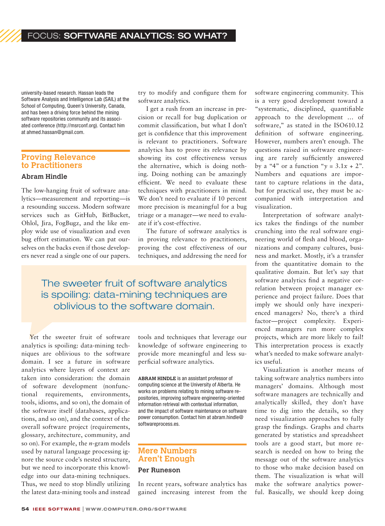university-based research. Hassan leads the Software Analysis and Intelligence Lab (SAIL) at the School of Computing, Queen's University, Canada, and has been a driving force behind the mining software repositories community and its associated conference (http://msrconf.org). Contact him at ahmed.hassan@gmail.com.

# **Proving Relevance to Practitioners**

# **Abram Hindle**

The low-hanging fruit of software analytics—measurement and reporting—is a resounding success. Modern software services such as GitHub, BitBucket, Ohlol, Jira, FogBugz, and the like employ wide use of visualization and even bug effort estimation. We can pat ourselves on the backs even if those developers never read a single one of our papers.

try to modify and configure them for software analytics.

I get a rush from an increase in precision or recall for bug duplication or commit classification, but what I don't get is confidence that this improvement is relevant to practitioners. Software analytics has to prove its relevance by showing its cost effectiveness versus the alternative, which is doing nothing. Doing nothing can be amazingly efficient. We need to evaluate these techniques with practitioners in mind. We don't need to evaluate if 10 percent more precision is meaningful for a bug triage or a manager—we need to evaluate if it's cost-effective.

The future of software analytics is in proving relevance to practitioners, proving the cost effectiveness of our techniques, and addressing the need for

The sweeter fruit of software analytics is spoiling: data-mining techniques are oblivious to the software domain.

Yet the sweeter fruit of software analytics is spoiling: data-mining techniques are oblivious to the software domain. I see a future in software analytics where layers of context are taken into consideration: the domain of software development (nonfunctional requirements, environments, tools, idioms, and so on), the domain of the software itself (databases, applications, and so on), and the context of the overall software project (requirements, glossary, architecture, community, and so on). For example, the *n*-gram models used by natural language processing ignore the source code's nested structure, but we need to incorporate this knowledge into our data-mining techniques. Thus, we need to stop blindly utilizing the latest data-mining tools and instead tools and techniques that leverage our knowledge of software engineering to provide more meaningful and less superficial software analytics.

**Abram Hindle** is an assistant professor of computing science at the University of Alberta. He works on problems relating to mining software repositories, improving software engineering-oriented information retrieval with contextual information, and the impact of software maintenance on software power consumption. Contact him at abram.hindle@ softwareprocess.es.

# **Mere Numbers Aren't Enough**

## **Per Runeson**

In recent years, software analytics has gained increasing interest from the software engineering community. This is a very good development toward a "systematic, disciplined, quantifiable approach to the development … of software," as stated in the ISO610.12 definition of software engineering. However, numbers aren't enough. The questions raised in software engineering are rarely sufficiently answered by a "4" or a function " $y = 3.1x + 2$ ". Numbers and equations are important to capture relations in the data, but for practical use, they must be accompanied with interpretation and visualization.

Interpretation of software analytics takes the findings of the number crunching into the real software engineering world of flesh and blood, organizations and company cultures, business and market. Mostly, it's a transfer from the quantitative domain to the qualitative domain. But let's say that software analytics find a negative correlation between project manager experience and project failure. Does that imply we should only have inexperienced managers? No, there's a third factor—project complexity. Experienced managers run more complex projects, which are more likely to fail! This interpretation process is exactly what's needed to make software analytics useful.

Visualization is another means of taking software analytics numbers into managers' domains. Although most software managers are technically and analytically skilled, they don't have time to dig into the details, so they need visualization approaches to fully grasp the findings. Graphs and charts generated by statistics and spreadsheet tools are a good start, but more research is needed on how to bring the message out of the software analytics to those who make decision based on them. The visualization is what will make the software analytics powerful. Basically, we should keep doing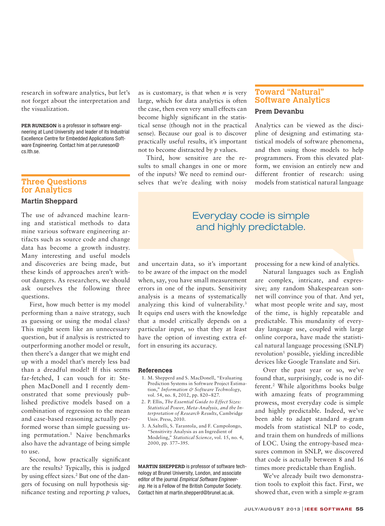research in software analytics, but let's not forget about the interpretation and the visualization.

**PER RUNESON** is a professor in software engineering at Lund University and leader of its Industrial Excellence Centre for Embedded Applications Software Engineering. Contact him at per.runeson@ cs.lth.se.

## **Three Questions for Analytics**

#### **Martin Sheppard**

The use of advanced machine learning and statistical methods to data mine various software engineering artifacts such as source code and change data has become a growth industry. Many interesting and useful models and discoveries are being made, but these kinds of approaches aren't without dangers. As researchers, we should ask ourselves the following three questions.

First, how much better is my model performing than a naive strategy, such as guessing or using the modal class? This might seem like an unnecessary question, but if analysis is restricted to outperforming another model or result, then there's a danger that we might end up with a model that's merely less bad than a dreadful model! If this seems far-fetched, I can vouch for it: Stephen MacDonell and I recently demonstrated that some previously published predictive models based on a combination of regression to the mean and case-based reasoning actually performed worse than simple guessing using permutation.1 Naive benchmarks also have the advantage of being simple to use.

Second, how practically significant are the results? Typically, this is judged by using effect sizes.<sup>2</sup> But one of the dangers of focusing on null hypothesis significance testing and reporting *p* values,

as is customary, is that when *n* is very large, which for data analytics is often the case, then even very small effects can become highly significant in the statistical sense (though not in the practical sense). Because our goal is to discover practically useful results, it's important not to become distracted by *p* values.

Third, how sensitive are the results to small changes in one or more of the inputs? We need to remind ourselves that we're dealing with noisy

# **Toward "Natural" Software Analytics**

## **Prem Devanbu**

Analytics can be viewed as the discipline of designing and estimating statistical models of software phenomena, and then using those models to help programmers. From this elevated platform, we envision an entirely new and different frontier of research: using models from statistical natural language

# Everyday code is simple and highly predictable.

and uncertain data, so it's important to be aware of the impact on the model when, say, you have small measurement errors in one of the inputs. Sensitivity analysis is a means of systematically analyzing this kind of vulnerability.3 It equips end users with the knowledge that a model critically depends on a particular input, so that they at least have the option of investing extra effort in ensuring its accuracy.

#### **References**

- 1. M. Shepperd and S. MacDonell, "Evaluating Prediction Systems in Software Project Estimation," *Information & Software Technology*, vol. 54, no. 8, 2012, pp. 820–827.
- 2. P. Ellis, *The Essential Guide to Effect Sizes: Statistical Power, Meta-Analysis, and the Interpretation of Research Results*, Cambridge Univ. Press, 2010.
- 3. A.Saltelli, S. Tarantola, and F. Campolongo, "Sensitivity Analysis as an Ingredient of Modeling," *Statistical Science*, vol. 15, no. 4, 2000, pp. 377–395.

**Martin Shepperd** is professor of software technology at Brunel University, London, and associate editor of the journal *Empirical Software Engineering*. He is a Fellow of the British Computer Society. Contact him at martin.shepperd@brunel.ac.uk.

processing for a new kind of analytics.

Natural languages such as English are complex, intricate, and expressive; any random Shakespearean sonnet will convince you of that. And yet, what most people write and say, most of the time, is highly repeatable and predictable. This mundanity of everyday language use, coupled with large online corpora, have made the statistical natural language processing (SNLP) revolution<sup>1</sup> possible, yielding incredible devices like Google Translate and Siri.

Over the past year or so, we've found that, surprisingly, code is no different.2 While algorithms books bulge with amazing feats of programming prowess, most everyday code is simple and highly predictable. Indeed, we've been able to adapt standard *n*-gram models from statistical NLP to code, and train them on hundreds of millions of LOC. Using the entropy-based measures common in SNLP, we discovered that code is actually between 8 and 16 times more predictable than English.

We've already built two demonstration tools to exploit this fact. First, we showed that, even with a simple *n*-gram